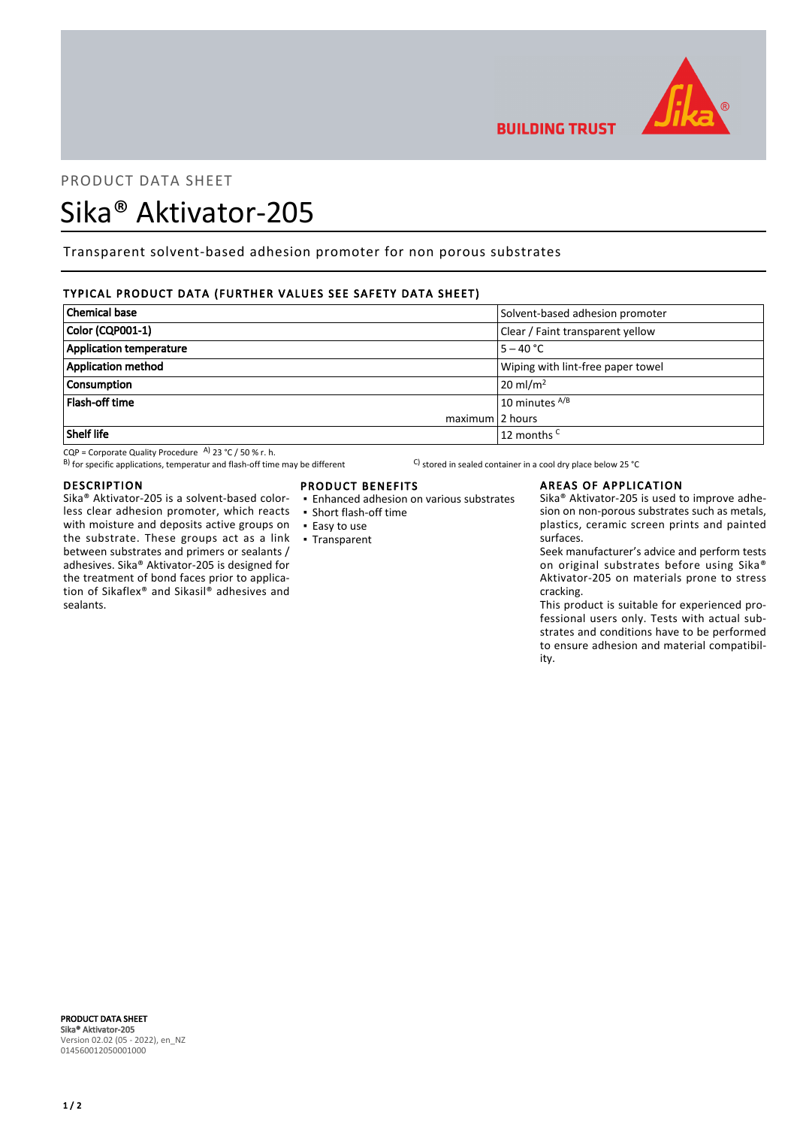

# PRODUCT DATA SHEET

# Sika® Aktivator-205

Transparent solvent-based adhesion promoter for non porous substrates

# TYPICAL PRODUCT DATA (FURTHER VALUES SEE SAFETY DATA SHEET)

| Chemical base                  | Solvent-based adhesion promoter   |
|--------------------------------|-----------------------------------|
| Color (CQP001-1)               | Clear / Faint transparent yellow  |
| <b>Application temperature</b> | $5 - 40 °C$                       |
| <b>Application method</b>      | Wiping with lint-free paper towel |
| <b>Consumption</b>             | $20 \text{ ml/m}^2$               |
| <b>Flash-off time</b>          | 10 minutes A/B                    |
| $maximum$ 2 hours              |                                   |
| Shelf life                     | 12 months <sup>C</sup>            |

CQP = Corporate Quality Procedure A)  $\overline{23 \text{ °C}}$  / 50 % r. h.

B) for specific applications, temperatur and flash-off time may be different  $\hspace{1cm}$  C) stored in sealed container in a cool dry place below 25 °C

## DESCRIPTION

Sika® Aktivator-205 is a solvent-based colorless clear adhesion promoter, which reacts with moisture and deposits active groups on the substrate. These groups act as a link between substrates and primers or sealants / adhesives. Sika® Aktivator-205 is designed for the treatment of bond faces prior to application of Sikaflex® and Sikasil® adhesives and sealants.

# PRODUCT BENEFITS

- Enhanced adhesion on various substrates
- Short flash-off time
- Easy to use
- Transparent

**BUILDING TRUST** 

# AREAS OF APPLICATION

Sika® Aktivator-205 is used to improve adhesion on non-porous substrates such as metals, plastics, ceramic screen prints and painted surfaces.

Seek manufacturer's advice and perform tests on original substrates before using Sika® Aktivator-205 on materials prone to stress cracking.

This product is suitable for experienced professional users only. Tests with actual substrates and conditions have to be performed to ensure adhesion and material compatibility.

PRODUCT DATA SHEET Sika® Aktivator-205 Version 02.02 (05 - 2022), en\_NZ 014560012050001000